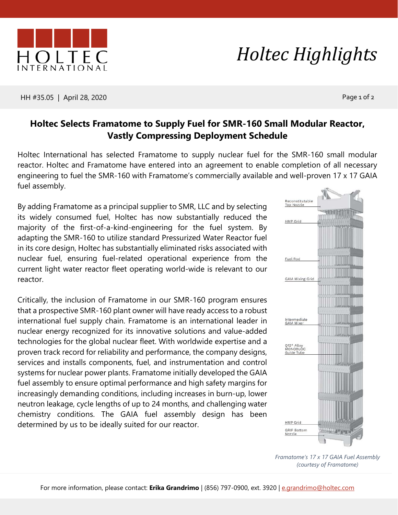## HH #35.05 | April 28, 2020 Page 1 of 2

## **Holtec Selects Framatome to Supply Fuel for SMR-160 Small Modular Reactor, Vastly Compressing Deployment Schedule**

Holtec International has selected Framatome to supply nuclear fuel for the SMR-160 small modular reactor. Holtec and Framatome have entered into an agreement to enable completion of all necessary engineering to fuel the SMR-160 with Framatome's commercially available and well-proven 17 x 17 GAIA fuel assembly.

By adding Framatome as a principal supplier to SMR, LLC and by selecting its widely consumed fuel, Holtec has now substantially reduced the majority of the first-of-a-kind-engineering for the fuel system. By adapting the SMR-160 to utilize standard Pressurized Water Reactor fuel in its core design, Holtec has substantially eliminated risks associated with nuclear fuel, ensuring fuel-related operational experience from the current light water reactor fleet operating world-wide is relevant to our reactor.

Critically, the inclusion of Framatome in our SMR-160 program ensures that a prospective SMR-160 plant owner will have ready access to a robust international fuel supply chain. Framatome is an international leader in nuclear energy recognized for its innovative solutions and value-added technologies for the global nuclear fleet. With worldwide expertise and a proven track record for reliability and performance, the company designs, services and installs components, fuel, and instrumentation and control systems for nuclear power plants. Framatome initially developed the GAIA fuel assembly to ensure optimal performance and high safety margins for increasingly demanding conditions, including increases in burn-up, lower neutron leakage, cycle lengths of up to 24 months, and challenging water chemistry conditions. The GAIA fuel assembly design has been determined by us to be ideally suited for our reactor.

> *Framatome's 17 x 17 GAIA Fuel Assembly (courtesy of Framatome)*

## *Holtec Highlights*